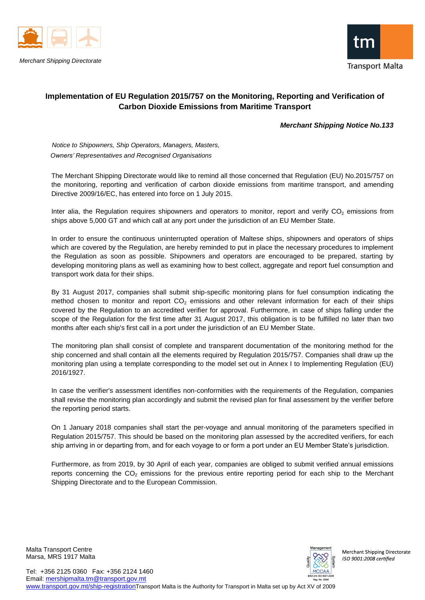

*Merchant Shipping Directorate*



## **Implementation of EU Regulation 2015/757 on the Monitoring, Reporting and Verification of Carbon Dioxide Emissions from Maritime Transport**

## *Merchant Shipping Notice No.133*

 *Notice to Shipowners, Ship Operators, Managers, Masters, Owners' Representatives and Recognised Organisations*

The Merchant Shipping Directorate would like to remind all those concerned that Regulation (EU) No.2015/757 on the monitoring, reporting and verification of carbon dioxide emissions from maritime transport, and amending Directive 2009/16/EC, has entered into force on 1 July 2015.

Inter alia, the Regulation requires shipowners and operators to monitor, report and verify  $CO<sub>2</sub>$  emissions from ships above 5,000 GT and which call at any port under the jurisdiction of an EU Member State.

In order to ensure the continuous uninterrupted operation of Maltese ships, shipowners and operators of ships which are covered by the Regulation, are hereby reminded to put in place the necessary procedures to implement the Regulation as soon as possible. Shipowners and operators are encouraged to be prepared, starting by developing monitoring plans as well as examining how to best collect, aggregate and report fuel consumption and transport work data for their ships.

By 31 August 2017, companies shall submit ship-specific monitoring plans for fuel consumption indicating the method chosen to monitor and report  $CO<sub>2</sub>$  emissions and other relevant information for each of their ships covered by the Regulation to an accredited verifier for approval. Furthermore, in case of ships falling under the scope of the Regulation for the first time after 31 August 2017, this obligation is to be fulfilled no later than two months after each ship's first call in a port under the jurisdiction of an EU Member State.

The monitoring plan shall consist of complete and transparent documentation of the monitoring method for the ship concerned and shall contain all the elements required by Regulation 2015/757. Companies shall draw up the monitoring plan using a template corresponding to the model set out in Annex I to Implementing Regulation (EU) 2016/1927.

In case the verifier's assessment identifies non-conformities with the requirements of the Regulation, companies shall revise the monitoring plan accordingly and submit the revised plan for final assessment by the verifier before the reporting period starts.

On 1 January 2018 companies shall start the per-voyage and annual monitoring of the parameters specified in Regulation 2015/757. This should be based on the monitoring plan assessed by the accredited verifiers, for each ship arriving in or departing from, and for each voyage to or form a port under an EU Member State's jurisdiction.

Furthermore, as from 2019, by 30 April of each year, companies are obliged to submit verified annual emissions reports concerning the  $CO<sub>2</sub>$  emissions for the previous entire reporting period for each ship to the Merchant Shipping Directorate and to the European Commission.

Malta Transport Centre Marsa, MRS 1917 Malta